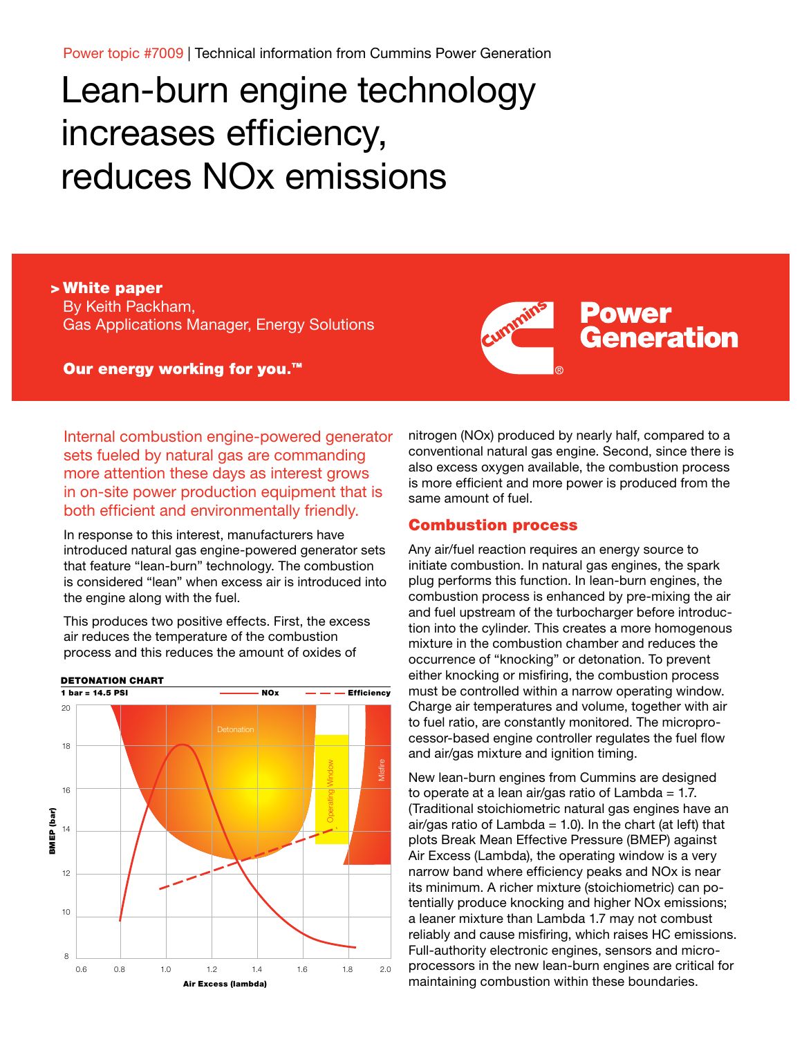Power topic #7009 | Technical information from Cummins Power Generation

# Lean-burn engine technology increases efficiency, reduces NOx emissions

> White paper By Keith Packham, Gas Applications Manager, Energy Solutions

Our energy working for you.<sup>™</sup>



Internal combustion engine-powered generator sets fueled by natural gas are commanding more attention these days as interest grows in on-site power production equipment that is both efficient and environmentally friendly.

In response to this interest, manufacturers have introduced natural gas engine-powered generator sets that feature "lean-burn" technology. The combustion is considered "lean" when excess air is introduced into the engine along with the fuel.

This produces two positive effects. First, the excess air reduces the temperature of the combustion process and this reduces the amount of oxides of



nitrogen (NOx) produced by nearly half, compared to a conventional natural gas engine. Second, since there is also excess oxygen available, the combustion process is more efficient and more power is produced from the same amount of fuel.

#### Combustion process

Any air/fuel reaction requires an energy source to initiate combustion. In natural gas engines, the spark plug performs this function. In lean-burn engines, the combustion process is enhanced by pre-mixing the air and fuel upstream of the turbocharger before introduction into the cylinder. This creates a more homogenous mixture in the combustion chamber and reduces the occurrence of "knocking" or detonation. To prevent either knocking or misfiring, the combustion process must be controlled within a narrow operating window. Charge air temperatures and volume, together with air to fuel ratio, are constantly monitored. The microprocessor-based engine controller regulates the fuel flow and air/gas mixture and ignition timing.

New lean-burn engines from Cummins are designed to operate at a lean air/gas ratio of  $Lambda = 1.7$ . (Traditional stoichiometric natural gas engines have an air/gas ratio of Lambda =  $1.0$ ). In the chart (at left) that plots Break Mean Effective Pressure (BMEP) against Air Excess (Lambda), the operating window is a very narrow band where efficiency peaks and NOx is near its minimum. A richer mixture (stoichiometric) can potentially produce knocking and higher NOx emissions; a leaner mixture than Lambda 1.7 may not combust reliably and cause misfiring, which raises HC emissions. Full-authority electronic engines, sensors and microprocessors in the new lean-burn engines are critical for maintaining combustion within these boundaries.